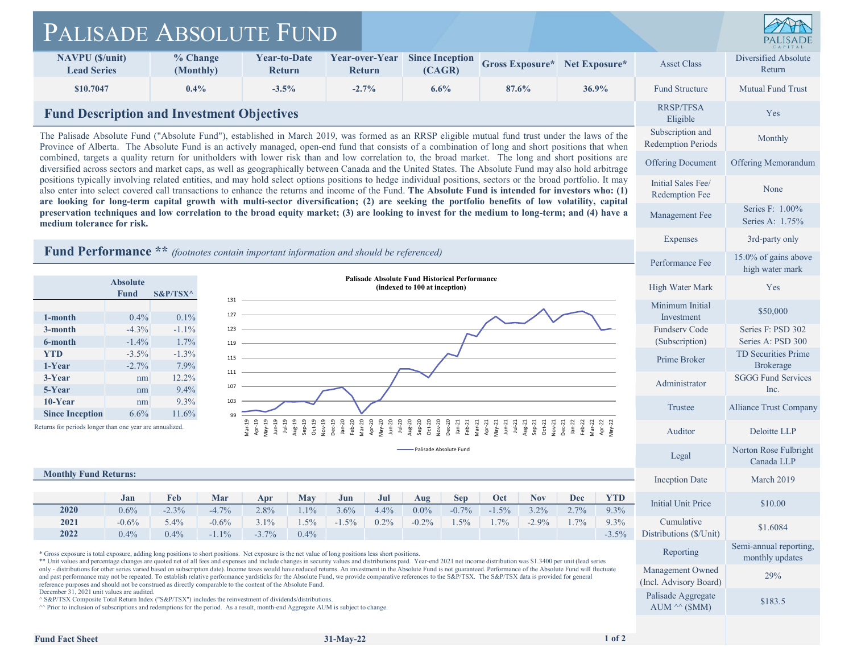| PALISADE ABSOLUTE FUND                                                                                                                                                                                                                                                                                                                                                                                                                     |                                                                                                                                                                                                                                                                                                                              |                       |                                                                                                                                                     |                                      |                    |                                                                                                                                                                                                                                                                                                                                                                                                                                                                                                                                                                                                                                                               |             |                                                 |                                        |                                        |                    |               |                          |                                                                     |                                               |  |
|--------------------------------------------------------------------------------------------------------------------------------------------------------------------------------------------------------------------------------------------------------------------------------------------------------------------------------------------------------------------------------------------------------------------------------------------|------------------------------------------------------------------------------------------------------------------------------------------------------------------------------------------------------------------------------------------------------------------------------------------------------------------------------|-----------------------|-----------------------------------------------------------------------------------------------------------------------------------------------------|--------------------------------------|--------------------|---------------------------------------------------------------------------------------------------------------------------------------------------------------------------------------------------------------------------------------------------------------------------------------------------------------------------------------------------------------------------------------------------------------------------------------------------------------------------------------------------------------------------------------------------------------------------------------------------------------------------------------------------------------|-------------|-------------------------------------------------|----------------------------------------|----------------------------------------|--------------------|---------------|--------------------------|---------------------------------------------------------------------|-----------------------------------------------|--|
| <b>NAVPU</b> ( <i>S</i> /unit)<br><b>Lead Series</b>                                                                                                                                                                                                                                                                                                                                                                                       |                                                                                                                                                                                                                                                                                                                              | % Change<br>(Monthly) |                                                                                                                                                     | <b>Year-to-Date</b><br><b>Return</b> |                    | <b>Return</b>                                                                                                                                                                                                                                                                                                                                                                                                                                                                                                                                                                                                                                                 |             | <b>Year-over-Year</b> Since Inception<br>(CAGR) |                                        | Gross Exposure*                        |                    | Net Exposure* |                          | <b>Asset Class</b>                                                  | Diversified Absolute<br>Return                |  |
| \$10,7047                                                                                                                                                                                                                                                                                                                                                                                                                                  |                                                                                                                                                                                                                                                                                                                              | $0.4\%$               |                                                                                                                                                     | $-3.5%$                              |                    | $-2.7%$                                                                                                                                                                                                                                                                                                                                                                                                                                                                                                                                                                                                                                                       |             | 6.6%                                            |                                        | 87.6%                                  |                    |               | 36.9%                    | <b>Fund Structure</b>                                               | <b>Mutual Fund Trust</b>                      |  |
|                                                                                                                                                                                                                                                                                                                                                                                                                                            | <b>Fund Description and Investment Objectives</b>                                                                                                                                                                                                                                                                            |                       |                                                                                                                                                     |                                      |                    |                                                                                                                                                                                                                                                                                                                                                                                                                                                                                                                                                                                                                                                               |             |                                                 |                                        |                                        |                    |               |                          |                                                                     | Yes                                           |  |
|                                                                                                                                                                                                                                                                                                                                                                                                                                            | The Palisade Absolute Fund ("Absolute Fund"), established in March 2019, was formed as an RRSP eligible mutual fund trust under the laws of the<br>Province of Alberta. The Absolute Fund is an actively managed, open-end fund that consists of a combination of long and short positions that when                         |                       |                                                                                                                                                     |                                      |                    |                                                                                                                                                                                                                                                                                                                                                                                                                                                                                                                                                                                                                                                               |             |                                                 |                                        |                                        |                    |               |                          | Subscription and<br><b>Redemption Periods</b>                       | Monthly                                       |  |
| combined, targets a quality return for unitholders with lower risk than and low correlation to, the broad market. The long and short positions are<br>diversified across sectors and market caps, as well as geographically between Canada and the United States. The Absolute Fund may also hold arbitrage                                                                                                                                |                                                                                                                                                                                                                                                                                                                              |                       |                                                                                                                                                     |                                      |                    |                                                                                                                                                                                                                                                                                                                                                                                                                                                                                                                                                                                                                                                               |             |                                                 |                                        |                                        |                    |               | <b>Offering Document</b> | Offering Memorandum                                                 |                                               |  |
|                                                                                                                                                                                                                                                                                                                                                                                                                                            | positions typically involving related entities, and may hold select options positions to hedge individual positions, sectors or the broad portfolio. It may<br>also enter into select covered call transactions to enhance the returns and income of the Fund. The Absolute Fund is intended for investors who: (1)          |                       |                                                                                                                                                     |                                      |                    |                                                                                                                                                                                                                                                                                                                                                                                                                                                                                                                                                                                                                                                               |             |                                                 |                                        |                                        |                    |               |                          | Initial Sales Fee/<br>Redemption Fee                                | None                                          |  |
|                                                                                                                                                                                                                                                                                                                                                                                                                                            | are looking for long-term capital growth with multi-sector diversification; (2) are seeking the portfolio benefits of low volatility, capital<br>preservation techniques and low correlation to the broad equity market; (3) are looking to invest for the medium to long-term; and (4) have a<br>medium tolerance for risk. |                       |                                                                                                                                                     |                                      |                    |                                                                                                                                                                                                                                                                                                                                                                                                                                                                                                                                                                                                                                                               |             |                                                 |                                        |                                        |                    |               | Management Fee           | Series F: 1.00%<br>Series A: 1.75%                                  |                                               |  |
|                                                                                                                                                                                                                                                                                                                                                                                                                                            |                                                                                                                                                                                                                                                                                                                              |                       |                                                                                                                                                     |                                      |                    |                                                                                                                                                                                                                                                                                                                                                                                                                                                                                                                                                                                                                                                               |             |                                                 |                                        |                                        |                    |               |                          | Expenses                                                            | 3rd-party only                                |  |
| <b>Fund Performance</b> ** <i>(footnotes contain important information and should be referenced)</i>                                                                                                                                                                                                                                                                                                                                       |                                                                                                                                                                                                                                                                                                                              |                       |                                                                                                                                                     |                                      |                    |                                                                                                                                                                                                                                                                                                                                                                                                                                                                                                                                                                                                                                                               |             |                                                 |                                        |                                        |                    |               |                          | Performance Fee                                                     | 15.0% of gains above<br>high water mark       |  |
|                                                                                                                                                                                                                                                                                                                                                                                                                                            | <b>Palisade Absolute Fund Historical Performance</b><br><b>Absolute</b><br>(indexed to 100 at inception)<br>$S\&P/TSX^{\wedge}$<br>Fund                                                                                                                                                                                      |                       |                                                                                                                                                     |                                      |                    |                                                                                                                                                                                                                                                                                                                                                                                                                                                                                                                                                                                                                                                               |             |                                                 |                                        |                                        |                    |               |                          | High Water Mark                                                     | Yes                                           |  |
| 1-month                                                                                                                                                                                                                                                                                                                                                                                                                                    | 0.4%                                                                                                                                                                                                                                                                                                                         | 0.1%                  | 131<br>127                                                                                                                                          |                                      |                    |                                                                                                                                                                                                                                                                                                                                                                                                                                                                                                                                                                                                                                                               |             |                                                 |                                        |                                        |                    |               |                          |                                                                     | \$50,000                                      |  |
| 3-month<br>6-month                                                                                                                                                                                                                                                                                                                                                                                                                         | $-4.3%$<br>$-1.4\%$                                                                                                                                                                                                                                                                                                          | $-1.1\%$<br>1.7%      | 123<br>119                                                                                                                                          |                                      |                    |                                                                                                                                                                                                                                                                                                                                                                                                                                                                                                                                                                                                                                                               |             |                                                 | <b>Fundserv Code</b><br>(Subscription) | Series F: PSD 302<br>Series A: PSD 300 |                    |               |                          |                                                                     |                                               |  |
| <b>YTD</b>                                                                                                                                                                                                                                                                                                                                                                                                                                 | $-3.5%$                                                                                                                                                                                                                                                                                                                      | $-1.3%$               | 115                                                                                                                                                 |                                      |                    |                                                                                                                                                                                                                                                                                                                                                                                                                                                                                                                                                                                                                                                               |             |                                                 |                                        |                                        |                    |               |                          | Prime Broker                                                        | TD Securities Prime                           |  |
| 1-Year<br>3-Year                                                                                                                                                                                                                                                                                                                                                                                                                           | $-2.7%$<br>nm                                                                                                                                                                                                                                                                                                                | 7.9%<br>12.2%         | 111                                                                                                                                                 |                                      |                    |                                                                                                                                                                                                                                                                                                                                                                                                                                                                                                                                                                                                                                                               |             |                                                 |                                        |                                        |                    |               |                          |                                                                     | <b>Brokerage</b><br><b>SGGG Fund Services</b> |  |
| 5-Year<br>10-Year                                                                                                                                                                                                                                                                                                                                                                                                                          | nm<br>nm                                                                                                                                                                                                                                                                                                                     | 9.4%<br>9.3%          | 107<br>103                                                                                                                                          |                                      |                    |                                                                                                                                                                                                                                                                                                                                                                                                                                                                                                                                                                                                                                                               |             |                                                 |                                        |                                        |                    |               |                          | Administrator                                                       | Inc.                                          |  |
| <b>Since Inception</b>                                                                                                                                                                                                                                                                                                                                                                                                                     | 6.6%                                                                                                                                                                                                                                                                                                                         | 11.6%                 | 99                                                                                                                                                  |                                      |                    |                                                                                                                                                                                                                                                                                                                                                                                                                                                                                                                                                                                                                                                               |             |                                                 |                                        |                                        |                    |               |                          | Trustee                                                             | <b>Alliance Trust Company</b>                 |  |
| Returns for periods longer than one year are annualized.                                                                                                                                                                                                                                                                                                                                                                                   |                                                                                                                                                                                                                                                                                                                              |                       |                                                                                                                                                     |                                      |                    |                                                                                                                                                                                                                                                                                                                                                                                                                                                                                                                                                                                                                                                               |             |                                                 |                                        |                                        |                    |               |                          | Auditor                                                             | Deloitte LLP                                  |  |
|                                                                                                                                                                                                                                                                                                                                                                                                                                            |                                                                                                                                                                                                                                                                                                                              |                       |                                                                                                                                                     |                                      |                    |                                                                                                                                                                                                                                                                                                                                                                                                                                                                                                                                                                                                                                                               |             | Palisade Absolute Fund                          |                                        |                                        |                    |               |                          | Legal                                                               | Norton Rose Fulbright<br>Canada LLP           |  |
| <b>Monthly Fund Returns:</b>                                                                                                                                                                                                                                                                                                                                                                                                               |                                                                                                                                                                                                                                                                                                                              |                       |                                                                                                                                                     |                                      |                    |                                                                                                                                                                                                                                                                                                                                                                                                                                                                                                                                                                                                                                                               |             |                                                 |                                        |                                        |                    |               |                          | Inception Date                                                      | March 2019                                    |  |
|                                                                                                                                                                                                                                                                                                                                                                                                                                            | Jan<br>0.6%                                                                                                                                                                                                                                                                                                                  | Feb<br>$-2.3%$        | Mar<br>$-4.7%$                                                                                                                                      | Apr<br>2.8%                          | <b>May</b><br>1.1% | Jun<br>3.6%                                                                                                                                                                                                                                                                                                                                                                                                                                                                                                                                                                                                                                                   | Jul<br>4.4% | Aug<br>$0.0\%$                                  | <b>Sep</b><br>$-0.7%$                  | Oct<br>$-1.5%$                         | <b>Nov</b><br>3.2% | Dec<br>2.7%   | <b>YTD</b><br>9.3%       | <b>Initial Unit Price</b>                                           | \$10.00                                       |  |
| 2020                                                                                                                                                                                                                                                                                                                                                                                                                                       |                                                                                                                                                                                                                                                                                                                              | $5.4\%$               | $-0.6%$<br>$-1.1%$                                                                                                                                  | 3.1%<br>$-3.7%$                      | 1.5%<br>0.4%       | $-1.5%$                                                                                                                                                                                                                                                                                                                                                                                                                                                                                                                                                                                                                                                       | 0.2%        | $-0.2%$                                         | 1.5%                                   | 1.7%                                   | $-2.9%$            | 1.7%          | 9.3%<br>$-3.5%$          | Cumulative<br>Distributions (\$/Unit)                               | \$1.6084                                      |  |
| 2021<br>2022                                                                                                                                                                                                                                                                                                                                                                                                                               | $-0.6\%$<br>0.4%                                                                                                                                                                                                                                                                                                             | $0.4\%$               | * Gross exposure is total exposure, adding long positions to short positions. Net exposure is the net value of long positions less short positions. |                                      |                    |                                                                                                                                                                                                                                                                                                                                                                                                                                                                                                                                                                                                                                                               |             |                                                 |                                        |                                        |                    |               | Reporting                | Semi-annual reporting,<br>monthly updates                           |                                               |  |
|                                                                                                                                                                                                                                                                                                                                                                                                                                            |                                                                                                                                                                                                                                                                                                                              |                       |                                                                                                                                                     |                                      |                    | ** Unit values and percentage changes are quoted net of all fees and expenses and include changes in security values and distributions paid. Year-end 2021 net income distribution was \$1.3400 per unit (lead series<br>only - distributions for other series varied based on subscription date). Income taxes would have reduced returns. An investment in the Absolute Fund is not guaranteed. Performance of the Absolute Fund will fluctuate<br>and past performance may not be repeated. To establish relative performance vardsticks for the Absolute Fund, we provide comparative references to the S&P/TSX. The S&P/TSX data is provided for general |             |                                                 |                                        |                                        |                    |               |                          |                                                                     |                                               |  |
|                                                                                                                                                                                                                                                                                                                                                                                                                                            |                                                                                                                                                                                                                                                                                                                              |                       |                                                                                                                                                     |                                      |                    |                                                                                                                                                                                                                                                                                                                                                                                                                                                                                                                                                                                                                                                               |             |                                                 |                                        |                                        |                    |               |                          | Management Owned                                                    | 29%                                           |  |
| reference purposes and should not be construed as directly comparable to the content of the Absolute Fund.<br>December 31, 2021 unit values are audited.<br>^ S&P/TSX Composite Total Return Index ("S&P/TSX") includes the reinvestment of dividends/distributions<br><sup><math>\wedge\wedge</math></sup> Prior to inclusion of subscriptions and redemptions for the period. As a result, month-end Aggregate AUM is subject to change. |                                                                                                                                                                                                                                                                                                                              |                       |                                                                                                                                                     |                                      |                    |                                                                                                                                                                                                                                                                                                                                                                                                                                                                                                                                                                                                                                                               |             |                                                 |                                        |                                        |                    |               |                          | (Incl. Advisory Board)<br>Palisade Aggregate<br>AUM $\wedge$ (\$MM) | \$183.5                                       |  |
| <b>Fund Fact Sheet</b>                                                                                                                                                                                                                                                                                                                                                                                                                     |                                                                                                                                                                                                                                                                                                                              |                       |                                                                                                                                                     |                                      |                    | $31-May-22$                                                                                                                                                                                                                                                                                                                                                                                                                                                                                                                                                                                                                                                   |             |                                                 |                                        |                                        |                    |               | 1 of 2                   |                                                                     |                                               |  |